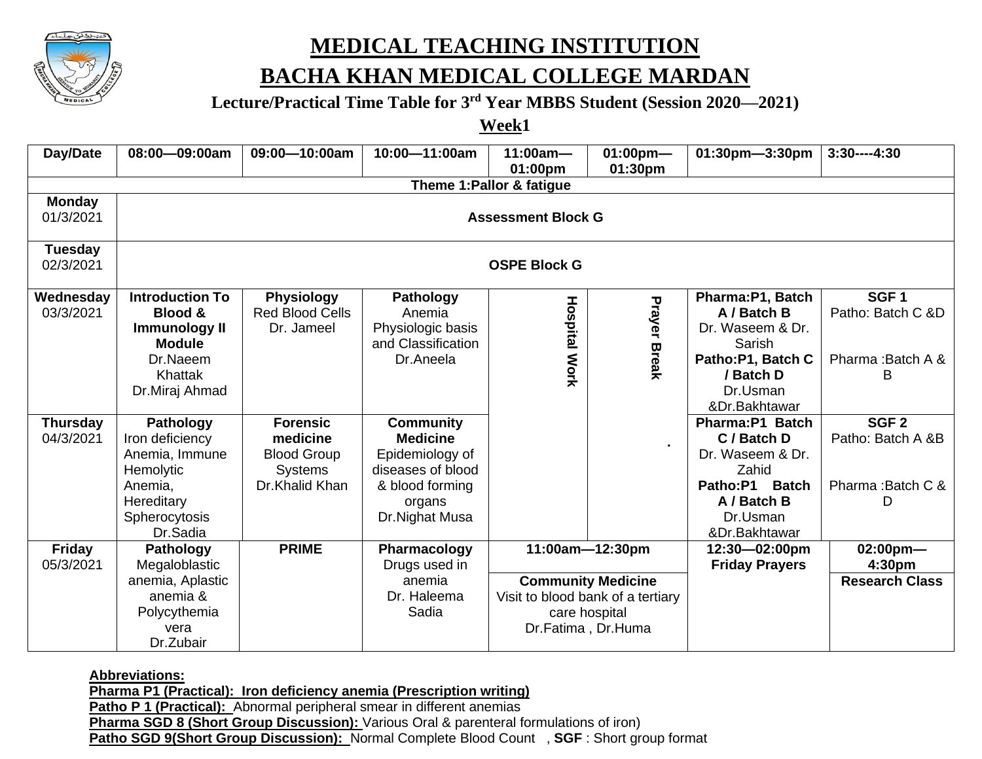

## **MEDICAL TEACHING INSTITUTION**

### **BACHA KHAN MEDICAL COLLEGE MARDAN**

#### **Lecture/Practical Time Table for 3rd Year MBBS Student (Session 2020—2021)**

**Week1**

| Day/Date                     | 08:00-09:00am                                                                                                                  | 09:00-10:00am                                                                         | 10:00-11:00am                                                                                                              | $11:00am -$                                                                                           | $01:00$ pm-         | 01:30pm-3:30pm                                                                                                               | $3:30---4:30$                                                   |  |  |  |
|------------------------------|--------------------------------------------------------------------------------------------------------------------------------|---------------------------------------------------------------------------------------|----------------------------------------------------------------------------------------------------------------------------|-------------------------------------------------------------------------------------------------------|---------------------|------------------------------------------------------------------------------------------------------------------------------|-----------------------------------------------------------------|--|--|--|
|                              | 01:00pm<br>01:30pm<br>Theme 1: Pallor & fatigue                                                                                |                                                                                       |                                                                                                                            |                                                                                                       |                     |                                                                                                                              |                                                                 |  |  |  |
| <b>Monday</b><br>01/3/2021   | <b>Assessment Block G</b>                                                                                                      |                                                                                       |                                                                                                                            |                                                                                                       |                     |                                                                                                                              |                                                                 |  |  |  |
| <b>Tuesday</b><br>02/3/2021  | <b>OSPE Block G</b>                                                                                                            |                                                                                       |                                                                                                                            |                                                                                                       |                     |                                                                                                                              |                                                                 |  |  |  |
| Wednesday<br>03/3/2021       | <b>Introduction To</b><br><b>Blood &amp;</b><br><b>Immunology II</b><br><b>Module</b><br>Dr.Naeem<br>Khattak<br>Dr.Miraj Ahmad | <b>Physiology</b><br><b>Red Blood Cells</b><br>Dr. Jameel                             | Pathology<br>Anemia<br>Physiologic basis<br>and Classification<br>Dr.Aneela                                                | <b>Hospital Work</b>                                                                                  | <b>Prayer Break</b> | Pharma:P1, Batch<br>A / Batch B<br>Dr. Waseem & Dr.<br>Sarish<br>Patho:P1, Batch C<br>/ Batch D<br>Dr.Usman<br>&Dr.Bakhtawar | SGF <sub>1</sub><br>Patho: Batch C &D<br>Pharma: Batch A &<br>B |  |  |  |
| <b>Thursday</b><br>04/3/2021 | Pathology<br>Iron deficiency<br>Anemia, Immune<br>Hemolytic<br>Anemia,<br>Hereditary<br>Spherocytosis<br>Dr.Sadia              | <b>Forensic</b><br>medicine<br><b>Blood Group</b><br><b>Systems</b><br>Dr.Khalid Khan | <b>Community</b><br><b>Medicine</b><br>Epidemiology of<br>diseases of blood<br>& blood forming<br>organs<br>Dr.Nighat Musa |                                                                                                       | $\blacksquare$      | Pharma:P1 Batch<br>C / Batch D<br>Dr. Waseem & Dr.<br>Zahid<br>Patho:P1 Batch<br>A / Batch B<br>Dr.Usman<br>&Dr.Bakhtawar    | SGF <sub>2</sub><br>Patho: Batch A &B<br>Pharma: Batch C &<br>D |  |  |  |
| <b>Friday</b><br>05/3/2021   | Pathology<br>Megaloblastic                                                                                                     | <b>PRIME</b>                                                                          | Pharmacology<br>Drugs used in                                                                                              | 11:00am-12:30pm                                                                                       |                     | 12:30-02:00pm<br><b>Friday Prayers</b>                                                                                       | $02:00$ pm-<br>4:30pm                                           |  |  |  |
|                              | anemia, Aplastic<br>anemia &<br>Polycythemia<br>vera<br>Dr.Zubair                                                              |                                                                                       | anemia<br>Dr. Haleema<br>Sadia                                                                                             | <b>Community Medicine</b><br>Visit to blood bank of a tertiary<br>care hospital<br>Dr.Fatima, Dr.Huma |                     |                                                                                                                              | <b>Research Class</b>                                           |  |  |  |

**Abbreviations:** 

**Pharma P1 (Practical): Iron deficiency anemia (Prescription writing)**

**Patho P 1 (Practical):** Abnormal peripheral smear in different anemias

**Pharma SGD 8 (Short Group Discussion):** Various Oral & parenteral formulations of iron)

**Patho SGD 9(Short Group Discussion):** Normal Complete Blood Count , **SGF** : Short group format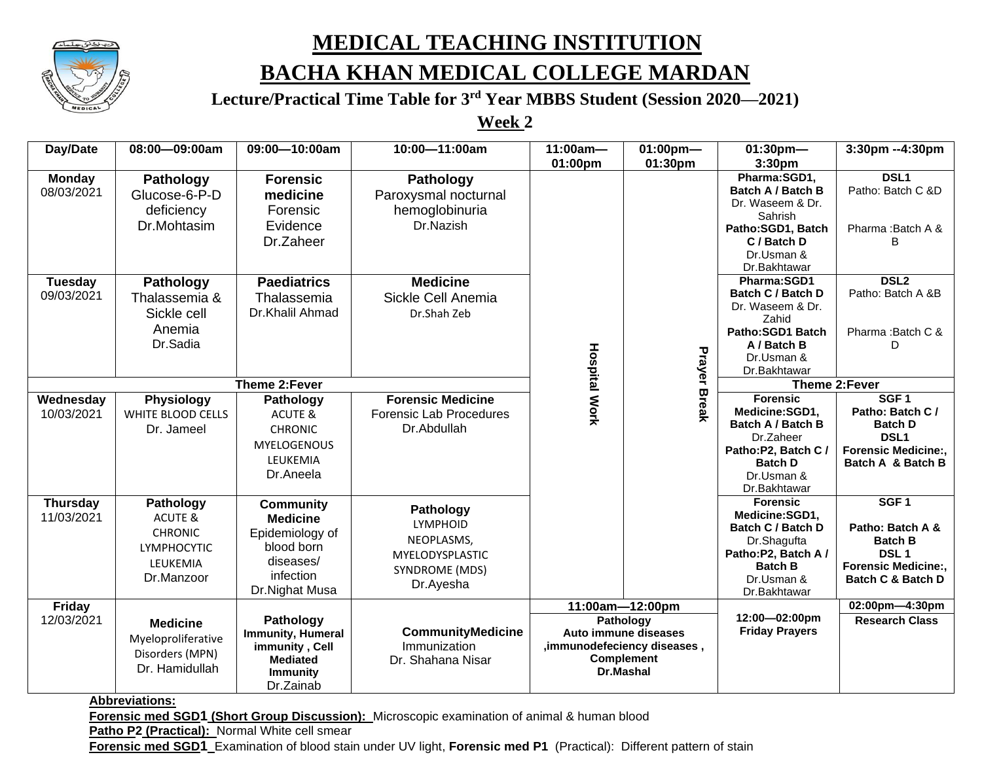

## **MEDICAL TEACHING INSTITUTION**

### **BACHA KHAN MEDICAL COLLEGE MARDAN**

**Lecture/Practical Time Table for 3rd Year MBBS Student (Session 2020—2021)**

**Week 2**

| Day/Date        | 08:00-09:00am                                                                               | 09:00-10:00am                                    | 10:00-11:00am                            | $11:00am -$<br>01:00pm | $01:00$ pm-<br>01:30pm       | $01:30$ pm-<br>3:30 <sub>pm</sub>        | 3:30pm --4:30pm                       |  |
|-----------------|---------------------------------------------------------------------------------------------|--------------------------------------------------|------------------------------------------|------------------------|------------------------------|------------------------------------------|---------------------------------------|--|
|                 |                                                                                             |                                                  |                                          |                        |                              |                                          |                                       |  |
| <b>Monday</b>   | Pathology                                                                                   | <b>Forensic</b>                                  | <b>Pathology</b>                         |                        |                              | Pharma:SGD1,<br><b>Batch A / Batch B</b> | DSL <sub>1</sub><br>Patho: Batch C &D |  |
| 08/03/2021      | Glucose-6-P-D<br>deficiency                                                                 | medicine                                         | Paroxysmal nocturnal<br>hemoglobinuria   |                        |                              | Dr. Waseem & Dr.                         |                                       |  |
|                 |                                                                                             | Forensic                                         |                                          |                        |                              | Sahrish                                  |                                       |  |
|                 | Dr.Mohtasim                                                                                 | Evidence                                         | Dr.Nazish                                |                        |                              | Patho:SGD1, Batch                        | Pharma: Batch A &                     |  |
|                 |                                                                                             | Dr.Zaheer                                        |                                          |                        |                              | C / Batch D                              | B                                     |  |
|                 |                                                                                             |                                                  |                                          |                        |                              | Dr.Usman &                               |                                       |  |
|                 |                                                                                             |                                                  |                                          |                        |                              | Dr.Bakhtawar                             |                                       |  |
| <b>Tuesday</b>  | Pathology                                                                                   | <b>Paediatrics</b>                               | <b>Medicine</b>                          |                        |                              | Pharma:SGD1                              | DSL <sub>2</sub>                      |  |
| 09/03/2021      | Thalassemia &                                                                               | Thalassemia                                      | Sickle Cell Anemia                       |                        |                              | <b>Batch C / Batch D</b>                 | Patho: Batch A &B                     |  |
|                 |                                                                                             |                                                  |                                          |                        |                              | Dr. Waseem & Dr.                         |                                       |  |
|                 | Sickle cell                                                                                 | Dr.Khalil Ahmad                                  | Dr.Shah Zeb                              |                        |                              | Zahid                                    |                                       |  |
|                 | Anemia<br>Dr.Sadia                                                                          |                                                  |                                          |                        |                              | Patho:SGD1 Batch                         | Pharma: Batch C &                     |  |
|                 |                                                                                             |                                                  |                                          |                        |                              | A / Batch B                              | D.                                    |  |
|                 |                                                                                             |                                                  |                                          |                        |                              | Dr.Usman &                               |                                       |  |
|                 |                                                                                             |                                                  |                                          |                        | Prayer                       | Dr.Bakhtawar                             |                                       |  |
|                 |                                                                                             | Theme 2:Fever                                    |                                          | <b>Hospital Work</b>   |                              | Theme 2:Fever                            |                                       |  |
| Wednesday       | <b>Physiology</b>                                                                           | Pathology                                        | <b>Forensic Medicine</b>                 |                        | <b>Break</b>                 | <b>Forensic</b>                          | SGF <sub>1</sub>                      |  |
| 10/03/2021      | WHITE BLOOD CELLS                                                                           | ACUTE &                                          | <b>Forensic Lab Procedures</b>           |                        |                              | Medicine:SGD1,                           | Patho: Batch C /                      |  |
|                 | Dr. Jameel                                                                                  | <b>CHRONIC</b>                                   | Dr.Abdullah                              |                        |                              | Batch A / Batch B                        | <b>Batch D</b>                        |  |
|                 |                                                                                             | <b>MYELOGENOUS</b>                               |                                          |                        |                              | Dr.Zaheer                                | DSL <sub>1</sub>                      |  |
|                 |                                                                                             | LEUKEMIA                                         |                                          |                        |                              | Patho:P2, Batch C /                      | <b>Forensic Medicine:,</b>            |  |
|                 |                                                                                             | Dr.Aneela                                        |                                          |                        |                              | <b>Batch D</b>                           | Batch A & Batch B                     |  |
|                 |                                                                                             |                                                  |                                          |                        |                              | Dr.Usman &<br>Dr.Bakhtawar               |                                       |  |
|                 |                                                                                             |                                                  |                                          |                        |                              | <b>Forensic</b>                          | SGF <sub>1</sub>                      |  |
| <b>Thursday</b> | Pathology                                                                                   | <b>Community</b>                                 | Pathology                                |                        |                              | Medicine:SGD1,                           |                                       |  |
| 11/03/2021      | <b>ACUTE &amp;</b>                                                                          | <b>Medicine</b>                                  | <b>LYMPHOID</b>                          |                        |                              | Batch C / Batch D                        | Patho: Batch A &                      |  |
|                 | <b>CHRONIC</b>                                                                              | Epidemiology of                                  | NEOPLASMS,                               |                        |                              | Dr.Shagufta                              | <b>Batch B</b>                        |  |
|                 | <b>LYMPHOCYTIC</b>                                                                          | blood born                                       | MYELODYSPLASTIC                          |                        |                              | Patho:P2, Batch A /                      | <b>DSL1</b>                           |  |
|                 | LEUKEMIA                                                                                    | diseases/                                        | SYNDROME (MDS)                           |                        |                              | <b>Batch B</b>                           | <b>Forensic Medicine:,</b>            |  |
|                 | Dr.Manzoor                                                                                  | infection                                        |                                          |                        |                              | Dr.Usman &                               | <b>Batch C &amp; Batch D</b>          |  |
|                 |                                                                                             | Dr.Nighat Musa                                   | Dr.Ayesha                                |                        |                              | Dr.Bakhtawar                             |                                       |  |
| Friday          |                                                                                             |                                                  |                                          | 11:00am-12:00pm        |                              | 02:00pm-4:30pm                           |                                       |  |
| 12/03/2021      | <b>Medicine</b><br>Myeloproliferative                                                       | Pathology<br>Immunity, Humeral<br>immunity, Cell | <b>CommunityMedicine</b><br>Immunization |                        | Pathology                    | 12:00-02:00pm<br><b>Friday Prayers</b>   | <b>Research Class</b>                 |  |
|                 |                                                                                             |                                                  |                                          |                        | Auto immune diseases         |                                          |                                       |  |
|                 |                                                                                             |                                                  |                                          |                        | , immunodefeciency diseases, |                                          |                                       |  |
|                 | Disorders (MPN)                                                                             | <b>Mediated</b>                                  | Dr. Shahana Nisar                        |                        | <b>Complement</b>            |                                          |                                       |  |
|                 | Dr. Hamidullah                                                                              | <b>Immunity</b>                                  |                                          |                        | Dr.Mashal                    |                                          |                                       |  |
|                 |                                                                                             | Dr.Zainab                                        |                                          |                        |                              |                                          |                                       |  |
|                 | <b>Abbreviations:</b>                                                                       |                                                  |                                          |                        |                              |                                          |                                       |  |
|                 | Forensic med SGD1 (Short Group Discussion): Microscopic examination of animal & human blood |                                                  |                                          |                        |                              |                                          |                                       |  |

**Patho P2 (Practical):** Normal White cell smear

**Forensic med SGD1** Examination of blood stain under UV light, **Forensic med P1** (Practical): Different pattern of stain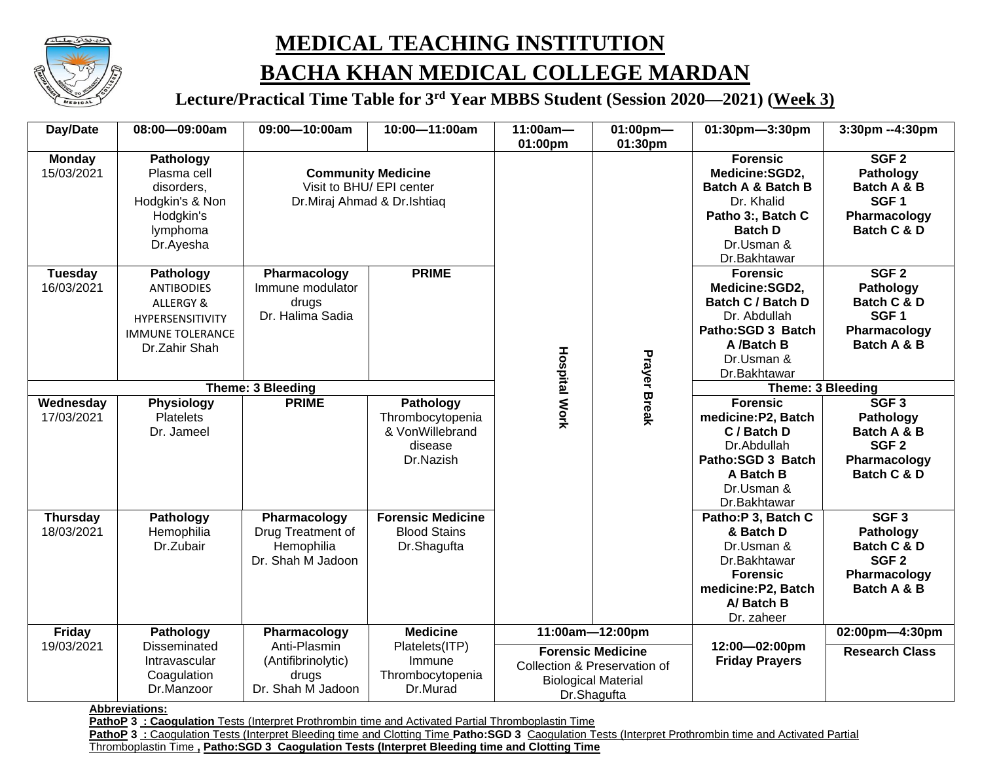

# **MEDICAL TEACHING INSTITUTION BACHA KHAN MEDICAL COLLEGE MARDAN**

**Lecture/Practical Time Table for 3rd Year MBBS Student (Session 2020—2021) (Week 3)**

| Day/Date                      | 08:00-09:00am                                                                                               | 09:00-10:00am                                                                        | 10:00-11:00am                                                            | $11:00am -$<br>01:00pm                                                                                                   | $01:00$ pm-<br>01:30pm | 01:30pm-3:30pm                                                                                                                                       | 3:30pm --4:30pm                                                                                 |
|-------------------------------|-------------------------------------------------------------------------------------------------------------|--------------------------------------------------------------------------------------|--------------------------------------------------------------------------|--------------------------------------------------------------------------------------------------------------------------|------------------------|------------------------------------------------------------------------------------------------------------------------------------------------------|-------------------------------------------------------------------------------------------------|
| <b>Monday</b><br>15/03/2021   | Pathology<br>Plasma cell<br>disorders,<br>Hodgkin's & Non<br>Hodgkin's<br>lymphoma<br>Dr.Ayesha             | <b>Community Medicine</b><br>Visit to BHU/ EPI center<br>Dr.Miraj Ahmad & Dr.Ishtiaq |                                                                          |                                                                                                                          |                        | <b>Forensic</b><br>Medicine:SGD2,<br><b>Batch A &amp; Batch B</b><br>Dr. Khalid<br>Patho 3:, Batch C<br><b>Batch D</b><br>Dr.Usman &<br>Dr.Bakhtawar | SGF <sub>2</sub><br>Pathology<br>Batch A & B<br>SGF <sub>1</sub><br>Pharmacology<br>Batch C & D |
| <b>Tuesday</b><br>16/03/2021  | Pathology<br><b>ANTIBODIES</b><br>ALLERGY &<br>HYPERSENSITIVITY<br><b>IMMUNE TOLERANCE</b><br>Dr.Zahir Shah | Pharmacology<br>Immune modulator<br>drugs<br>Dr. Halima Sadia                        | <b>PRIME</b>                                                             |                                                                                                                          | <b>Prayer Break</b>    | <b>Forensic</b><br>Medicine:SGD2,<br>Batch C / Batch D<br>Dr. Abdullah<br>Patho:SGD 3 Batch<br>A /Batch B<br>Dr.Usman &<br>Dr.Bakhtawar              | SGF <sub>2</sub><br>Pathology<br>Batch C & D<br>SGF <sub>1</sub><br>Pharmacology<br>Batch A & B |
| <b>Theme: 3 Bleeding</b>      |                                                                                                             |                                                                                      |                                                                          |                                                                                                                          | Theme: 3 Bleeding      |                                                                                                                                                      |                                                                                                 |
| Wednesday<br>17/03/2021       | Physiology<br><b>Platelets</b><br>Dr. Jameel                                                                | <b>PRIME</b>                                                                         | Pathology<br>Thrombocytopenia<br>& VonWillebrand<br>disease<br>Dr.Nazish | <b>Hospital Work</b>                                                                                                     |                        | <b>Forensic</b><br>medicine: P2, Batch<br>C / Batch D<br>Dr.Abdullah<br>Patho:SGD 3 Batch<br>A Batch B<br>Dr.Usman &<br>Dr.Bakhtawar                 | SGF <sub>3</sub><br>Pathology<br>Batch A & B<br>SGF <sub>2</sub><br>Pharmacology<br>Batch C & D |
| <b>Thursday</b><br>18/03/2021 | Pathology<br>Hemophilia<br>Dr.Zubair                                                                        | Pharmacology<br>Drug Treatment of<br>Hemophilia<br>Dr. Shah M Jadoon                 | <b>Forensic Medicine</b><br><b>Blood Stains</b><br>Dr.Shagufta           |                                                                                                                          |                        | Patho:P 3, Batch C<br>& Batch D<br>Dr.Usman &<br>Dr.Bakhtawar<br><b>Forensic</b><br>medicine: P2, Batch<br>A/Batch B<br>Dr. zaheer                   | SGF <sub>3</sub><br>Pathology<br>Batch C & D<br>SGF <sub>2</sub><br>Pharmacology<br>Batch A & B |
| Friday                        | Pathology                                                                                                   | Pharmacology                                                                         | <b>Medicine</b>                                                          | 11:00am-12:00pm<br><b>Forensic Medicine</b><br>Collection & Preservation of<br><b>Biological Material</b><br>Dr.Shagufta |                        |                                                                                                                                                      | 02:00pm-4:30pm                                                                                  |
| 19/03/2021                    | <b>Disseminated</b><br>Intravascular<br>Coagulation<br>Dr.Manzoor                                           | Anti-Plasmin<br>(Antifibrinolytic)<br>drugs<br>Dr. Shah M Jadoon                     | Platelets(ITP)<br>Immune<br>Thrombocytopenia<br>Dr.Murad                 |                                                                                                                          |                        | 12:00-02:00pm<br><b>Friday Prayers</b>                                                                                                               | <b>Research Class</b>                                                                           |

**Abbreviations:**

**PathoP 3 : Caogulation** Tests (Interpret Prothrombin time and Activated Partial Thromboplastin Time

**PathoP 3** : Caogulation Tests (Interpret Bleeding time and Clotting Time Patho:SGD 3 Caogulation Tests (Interpret Prothrombin time and Activated Partial

Thromboplastin Time **, Patho:SGD 3 Caogulation Tests (Interpret Bleeding time and Clotting Time**